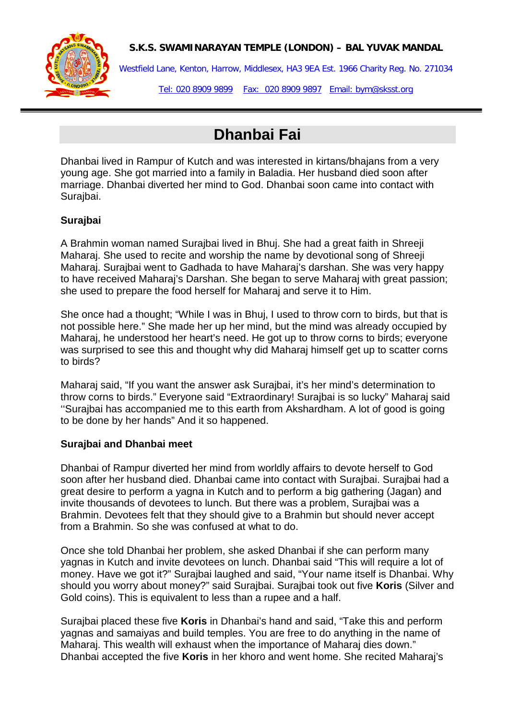

## **S.K.S. SWAMINARAYAN TEMPLE (LONDON) – BAL YUVAK MANDAL**

Westfield Lane, Kenton, Harrow, Middlesex, HA3 9EA Est. 1966 Charity Reg. No. 271034

Tel: 020 8909 9899 Fax: 020 8909 9897 Email: bym@sksst.org

# **Dhanbai Fai**

Dhanbai lived in Rampur of Kutch and was interested in kirtans/bhajans from a very young age. She got married into a family in Baladia. Her husband died soon after marriage. Dhanbai diverted her mind to God. Dhanbai soon came into contact with Surajbai.

# **Surajbai**

A Brahmin woman named Surajbai lived in Bhuj. She had a great faith in Shreeji Maharaj. She used to recite and worship the name by devotional song of Shreeji Maharaj. Surajbai went to Gadhada to have Maharaj's darshan. She was very happy to have received Maharaj's Darshan. She began to serve Maharaj with great passion; she used to prepare the food herself for Maharaj and serve it to Him.

She once had a thought; "While I was in Bhuj, I used to throw corn to birds, but that is not possible here." She made her up her mind, but the mind was already occupied by Maharaj, he understood her heart's need. He got up to throw corns to birds; everyone was surprised to see this and thought why did Maharaj himself get up to scatter corns to birds?

Maharaj said, "If you want the answer ask Surajbai, it's her mind's determination to throw corns to birds." Everyone said "Extraordinary! Surajbai is so lucky" Maharaj said ''Surajbai has accompanied me to this earth from Akshardham. A lot of good is going to be done by her hands" And it so happened.

### **Surajbai and Dhanbai meet**

Dhanbai of Rampur diverted her mind from worldly affairs to devote herself to God soon after her husband died. Dhanbai came into contact with Surajbai. Surajbai had a great desire to perform a yagna in Kutch and to perform a big gathering (Jagan) and invite thousands of devotees to lunch. But there was a problem, Surajbai was a Brahmin. Devotees felt that they should give to a Brahmin but should never accept from a Brahmin. So she was confused at what to do.

Once she told Dhanbai her problem, she asked Dhanbai if she can perform many yagnas in Kutch and invite devotees on lunch. Dhanbai said "This will require a lot of money. Have we got it?" Surajbai laughed and said, "Your name itself is Dhanbai. Why should you worry about money?" said Surajbai. Surajbai took out five **Koris** (Silver and Gold coins). This is equivalent to less than a rupee and a half.

Surajbai placed these five **Koris** in Dhanbai's hand and said, "Take this and perform yagnas and samaiyas and build temples. You are free to do anything in the name of Maharaj. This wealth will exhaust when the importance of Maharaj dies down." Dhanbai accepted the five **Koris** in her khoro and went home. She recited Maharaj's